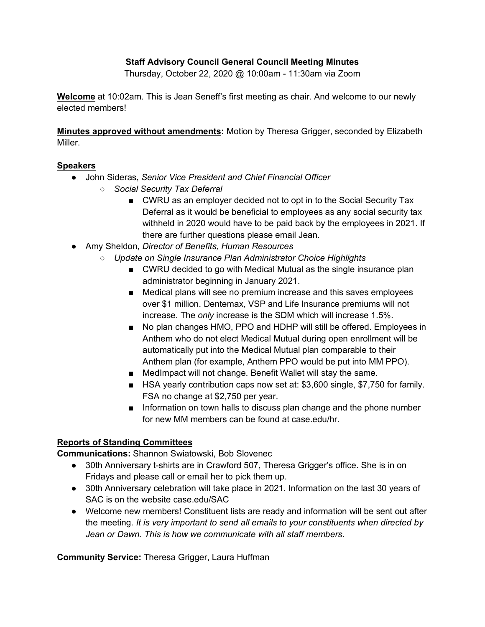#### **Staff Advisory Council General Council Meeting Minutes**

Thursday, October 22, 2020 @ 10:00am - 11:30am via Zoom

**Welcome** at 10:02am. This is Jean Seneff's first meeting as chair. And welcome to our newly elected members!

**Minutes approved without amendments:** Motion by Theresa Grigger, seconded by Elizabeth Miller.

#### **Speakers**

- John Sideras, *Senior Vice President and Chief Financial Officer*
	- *Social Security Tax Deferral*
		- CWRU as an employer decided not to opt in to the Social Security Tax Deferral as it would be beneficial to employees as any social security tax withheld in 2020 would have to be paid back by the employees in 2021. If there are further questions please email Jean.
- Amy Sheldon, *Director of Benefits, Human Resources*
	- *Update on Single Insurance Plan Administrator Choice Highlights*
		- CWRU decided to go with Medical Mutual as the single insurance plan administrator beginning in January 2021.
		- Medical plans will see no premium increase and this saves employees over \$1 million. Dentemax, VSP and Life Insurance premiums will not increase. The *only* increase is the SDM which will increase 1.5%.
		- No plan changes HMO, PPO and HDHP will still be offered. Employees in Anthem who do not elect Medical Mutual during open enrollment will be automatically put into the Medical Mutual plan comparable to their Anthem plan (for example, Anthem PPO would be put into MM PPO).
		- MedImpact will not change. Benefit Wallet will stay the same.
		- HSA yearly contribution caps now set at: \$3,600 single, \$7,750 for family. FSA no change at \$2,750 per year.
		- Information on town halls to discuss plan change and the phone number for new MM members can be found at case.edu/hr.

## **Reports of Standing Committees**

**Communications:** Shannon Swiatowski, Bob Slovenec

- 30th Anniversary t-shirts are in Crawford 507, Theresa Grigger's office. She is in on Fridays and please call or email her to pick them up.
- 30th Anniversary celebration will take place in 2021. Information on the last 30 years of SAC is on the website case.edu/SAC
- Welcome new members! Constituent lists are ready and information will be sent out after the meeting. *It is very important to send all emails to your constituents when directed by Jean or Dawn. This is how we communicate with all staff members.*

**Community Service:** Theresa Grigger, Laura Huffman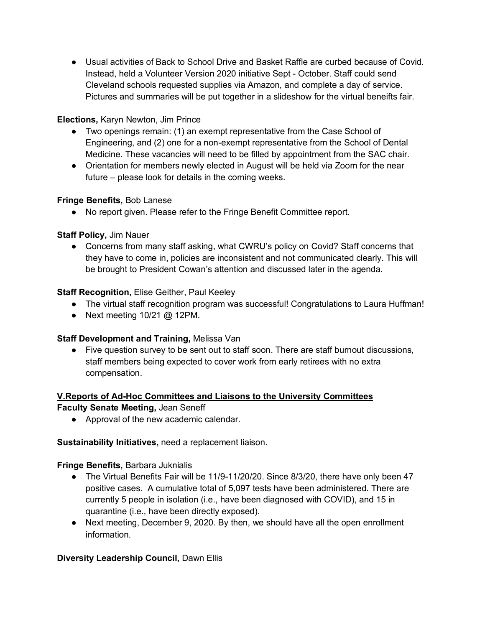● Usual activities of Back to School Drive and Basket Raffle are curbed because of Covid. Instead, held a Volunteer Version 2020 initiative Sept - October. Staff could send Cleveland schools requested supplies via Amazon, and complete a day of service. Pictures and summaries will be put together in a slideshow for the virtual beneifts fair.

## **Elections,** Karyn Newton, Jim Prince

- Two openings remain: (1) an exempt representative from the Case School of Engineering, and (2) one for a non-exempt representative from the School of Dental Medicine. These vacancies will need to be filled by appointment from the SAC chair.
- Orientation for members newly elected in August will be held via Zoom for the near future – please look for details in the coming weeks.

# **Fringe Benefits,** Bob Lanese

● No report given. Please refer to the Fringe Benefit Committee report.

# **Staff Policy,** Jim Nauer

• Concerns from many staff asking, what CWRU's policy on Covid? Staff concerns that they have to come in, policies are inconsistent and not communicated clearly. This will be brought to President Cowan's attention and discussed later in the agenda.

# **Staff Recognition,** Elise Geither, Paul Keeley

- The virtual staff recognition program was successful! Congratulations to Laura Huffman!
- Next meeting  $10/21$  @ 12PM.

## **Staff Development and Training,** Melissa Van

● Five question survey to be sent out to staff soon. There are staff burnout discussions, staff members being expected to cover work from early retirees with no extra compensation.

# **V.Reports of Ad-Hoc Committees and Liaisons to the University Committees**

## **Faculty Senate Meeting,** Jean Seneff

● Approval of the new academic calendar.

## **Sustainability Initiatives,** need a replacement liaison.

## **Fringe Benefits,** Barbara Juknialis

- The Virtual Benefits Fair will be 11/9-11/20/20. Since 8/3/20, there have only been 47 positive cases. A cumulative total of 5,097 tests have been administered. There are currently 5 people in isolation (i.e., have been diagnosed with COVID), and 15 in quarantine (i.e., have been directly exposed).
- Next meeting, December 9, 2020. By then, we should have all the open enrollment information.

## **Diversity Leadership Council,** Dawn Ellis